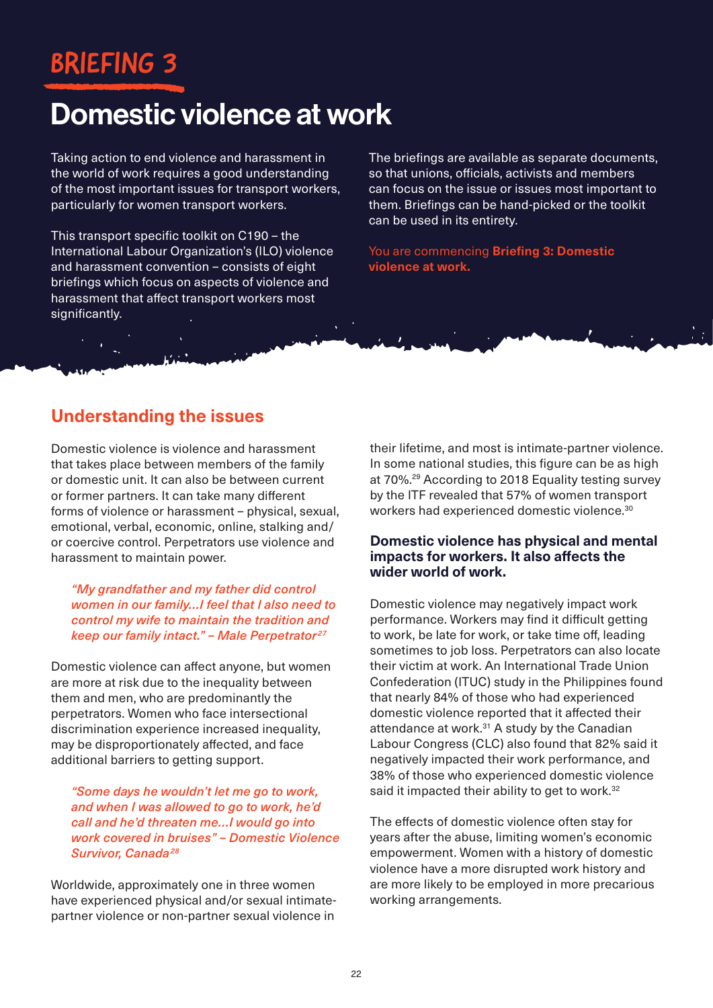# BRIEFING 3

# Domestic violence at work

Taking action to end violence and harassment in the world of work requires a good understanding of the most important issues for transport workers, particularly for women transport workers.

This transport specific toolkit on C190 – the International Labour Organization's (ILO) violence and harassment convention – consists of eight briefings which focus on aspects of violence and harassment that affect transport workers most significantly.

The briefings are available as separate documents, so that unions, officials, activists and members can focus on the issue or issues most important to them. Briefings can be hand-picked or the toolkit can be used in its entirety.

You are commencing **Briefing 3: Domestic violence at work.**

# **Understanding the issues**

Domestic violence is violence and harassment that takes place between members of the family or domestic unit. It can also be between current or former partners. It can take many different forms of violence or harassment – physical, sexual, emotional, verbal, economic, online, stalking and/ or coercive control. Perpetrators use violence and harassment to maintain power.

*"My grandfather and my father did control women in our family…I feel that I also need to control my wife to maintain the tradition and keep our family intact." - Male Perpetrator<sup>27</sup>* 

Domestic violence can affect anyone, but women are more at risk due to the inequality between them and men, who are predominantly the perpetrators. Women who face intersectional discrimination experience increased inequality, may be disproportionately affected, and face additional barriers to getting support.

*"Some days he wouldn't let me go to work, and when I was allowed to go to work, he'd call and he'd threaten me…I would go into work covered in bruises" – Domestic Violence Survivor, Canada <sup>28</sup>*

Worldwide, approximately one in three women have experienced physical and/or sexual intimatepartner violence or non-partner sexual violence in

their lifetime, and most is intimate-partner violence. In some national studies, this figure can be as high at 70%.29 According to 2018 Equality testing survey by the ITF revealed that 57% of women transport workers had experienced domestic violence.<sup>30</sup>

### **Domestic violence has physical and mental impacts for workers. It also affects the wider world of work.**

Domestic violence may negatively impact work performance. Workers may find it difficult getting to work, be late for work, or take time off, leading sometimes to job loss. Perpetrators can also locate their victim at work. An International Trade Union Confederation (ITUC) study in the Philippines found that nearly 84% of those who had experienced domestic violence reported that it affected their attendance at work.<sup>31</sup> A study by the Canadian Labour Congress (CLC) also found that 82% said it negatively impacted their work performance, and 38% of those who experienced domestic violence said it impacted their ability to get to work.<sup>32</sup>

The effects of domestic violence often stay for years after the abuse, limiting women's economic empowerment. Women with a history of domestic violence have a more disrupted work history and are more likely to be employed in more precarious working arrangements.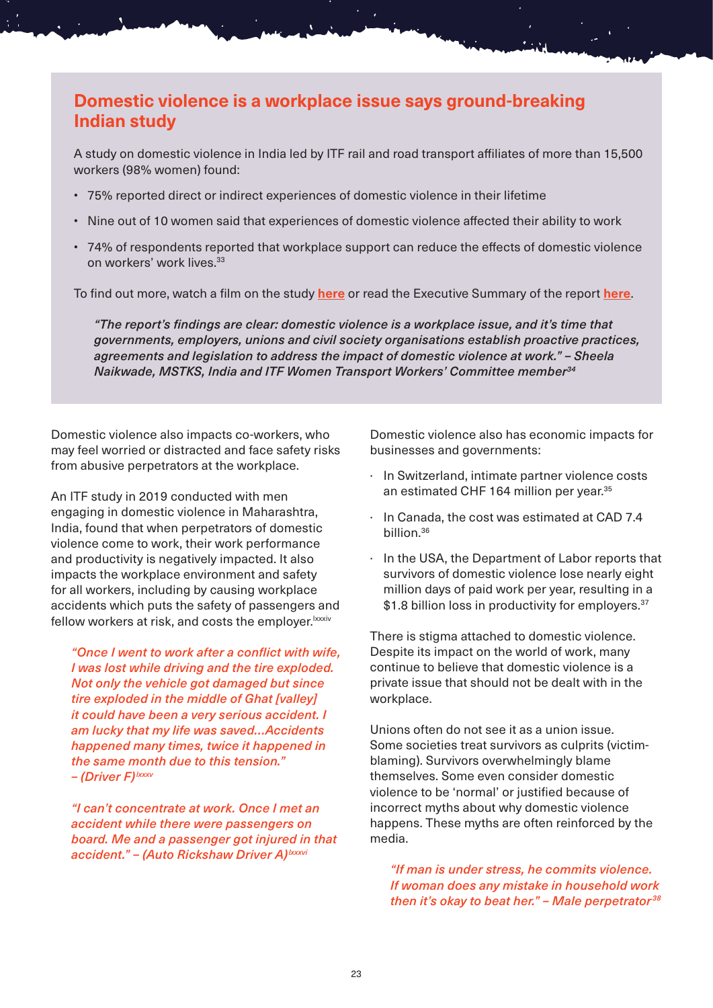# **Domestic violence is a workplace issue says ground-breaking Indian study**

A study on domestic violence in India led by ITF rail and road transport affiliates of more than 15,500 workers (98% women) found:

- 75% reported direct or indirect experiences of domestic violence in their lifetime
- Nine out of 10 women said that experiences of domestic violence affected their ability to work
- 74% of respondents reported that workplace support can reduce the effects of domestic violence on workers' work lives.33

To find out more, watch a film on the study **[here](https://www.youtube.com/watch?v=30xxI6ftAr0&t=147s)** or read the Executive Summary of the report **[here](https://www.itfglobal.org/en/reports-publications/impact-domestic-violence-in-workplaces-in-india)**.

*"The report's findings are clear: domestic violence is a workplace issue, and it's time that governments, employers, unions and civil society organisations establish proactive practices, agreements and legislation to address the impact of domestic violence at work." – Sheela Naikwade, MSTKS, India and ITF Women Transport Workers' Committee member34*

Domestic violence also impacts co-workers, who may feel worried or distracted and face safety risks from abusive perpetrators at the workplace.

An ITF study in 2019 conducted with men engaging in domestic violence in Maharashtra, India, found that when perpetrators of domestic violence come to work, their work performance and productivity is negatively impacted. It also impacts the workplace environment and safety for all workers, including by causing workplace accidents which puts the safety of passengers and fellow workers at risk, and costs the employer. Ixxxiv

*"Once I went to work after a conflict with wife, I was lost while driving and the tire exploded. Not only the vehicle got damaged but since tire exploded in the middle of Ghat [valley] it could have been a very serious accident. I am lucky that my life was saved…Accidents happened many times, twice it happened in the same month due to this tension." – (Driver F)lxxxv*

*"I can't concentrate at work. Once I met an accident while there were passengers on board. Me and a passenger got injured in that accident." – (Auto Rickshaw Driver A)lxxxvi*

Domestic violence also has economic impacts for businesses and governments:

- · In Switzerland, intimate partner violence costs an estimated CHF 164 million per year.<sup>35</sup>
- · In Canada, the cost was estimated at CAD 7.4 billion.36
- · In the USA, the Department of Labor reports that survivors of domestic violence lose nearly eight million days of paid work per year, resulting in a \$1.8 billion loss in productivity for employers.<sup>37</sup>

There is stigma attached to domestic violence. Despite its impact on the world of work, many continue to believe that domestic violence is a private issue that should not be dealt with in the workplace.

Unions often do not see it as a union issue. Some societies treat survivors as culprits (victimblaming). Survivors overwhelmingly blame themselves. Some even consider domestic violence to be 'normal' or justified because of incorrect myths about why domestic violence happens. These myths are often reinforced by the media.

*"If man is under stress, he commits violence. If woman does any mistake in household work then it's okay to beat her." – Male perpetrator <sup>38</sup>*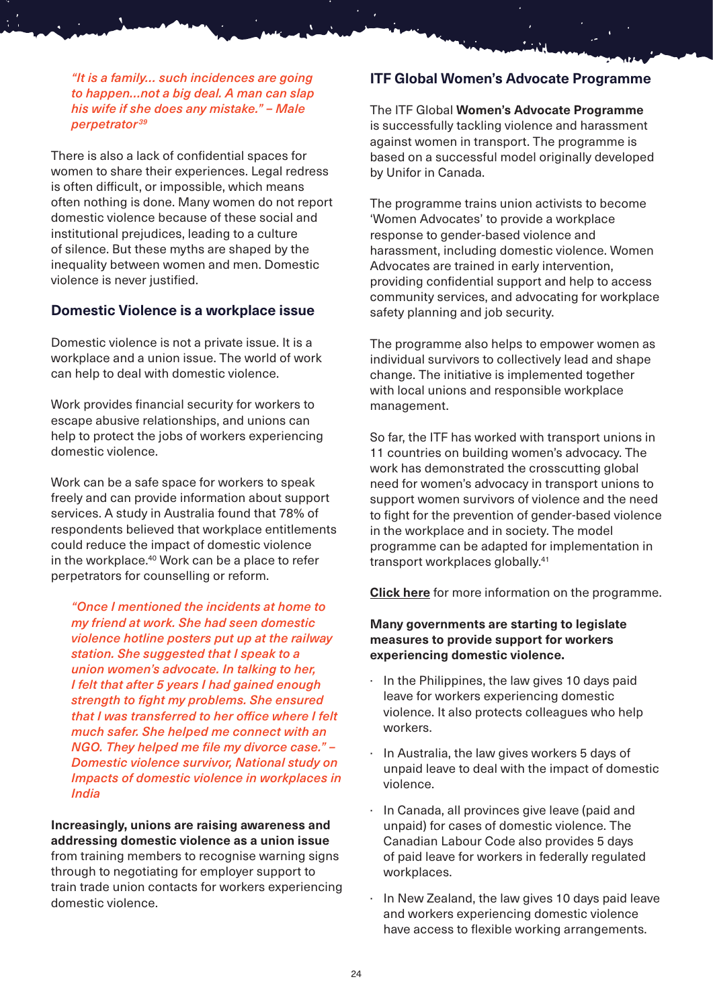*"It is a family… such incidences are going to happen…not a big deal. A man can slap his wife if she does any mistake." – Male perpetrator <sup>39</sup>*

There is also a lack of confidential spaces for women to share their experiences. Legal redress is often difficult, or impossible, which means often nothing is done. Many women do not report domestic violence because of these social and institutional prejudices, leading to a culture of silence. But these myths are shaped by the inequality between women and men. Domestic violence is never justified.

#### **Domestic Violence is a workplace issue**

Domestic violence is not a private issue. It is a workplace and a union issue. The world of work can help to deal with domestic violence.

Work provides financial security for workers to escape abusive relationships, and unions can help to protect the jobs of workers experiencing domestic violence.

Work can be a safe space for workers to speak freely and can provide information about support services. A study in Australia found that 78% of respondents believed that workplace entitlements could reduce the impact of domestic violence in the workplace.<sup>40</sup> Work can be a place to refer perpetrators for counselling or reform.

*"Once I mentioned the incidents at home to my friend at work. She had seen domestic violence hotline posters put up at the railway station. She suggested that I speak to a union women's advocate. In talking to her, I felt that after 5 years I had gained enough strength to fight my problems. She ensured that I was transferred to her office where I felt much safer. She helped me connect with an NGO. They helped me file my divorce case." – Domestic violence survivor, National study on Impacts of domestic violence in workplaces in India* 

**Increasingly, unions are raising awareness and addressing domestic violence as a union issue** from training members to recognise warning signs through to negotiating for employer support to train trade union contacts for workers experiencing domestic violence.

#### **ITF Global Women's Advocate Programme**

The ITF Global **Women's Advocate Programme** is successfully tackling violence and harassment against women in transport. The programme is based on a successful model originally developed by Unifor in Canada.

The programme trains union activists to become 'Women Advocates' to provide a workplace response to gender-based violence and harassment, including domestic violence. Women Advocates are trained in early intervention, providing confidential support and help to access community services, and advocating for workplace safety planning and job security.

The programme also helps to empower women as individual survivors to collectively lead and shape change. The initiative is implemented together with local unions and responsible workplace management.

So far, the ITF has worked with transport unions in 11 countries on building women's advocacy. The work has demonstrated the crosscutting global need for women's advocacy in transport unions to support women survivors of violence and the need to fight for the prevention of gender-based violence in the workplace and in society. The model programme can be adapted for implementation in transport workplaces globally.41

**[Click here](https://www.itfglobal.org/en/focus/women/violence-against-women-transport-workers-and-the-itf-global-women%E2%80%99s-advocate-programme)** for more information on the programme.

#### **Many governments are starting to legislate measures to provide support for workers experiencing domestic violence.**

- · In the Philippines, the law gives 10 days paid leave for workers experiencing domestic violence. It also protects colleagues who help workers.
- In Australia, the law gives workers 5 days of unpaid leave to deal with the impact of domestic violence.
- In Canada, all provinces give leave (paid and unpaid) for cases of domestic violence. The Canadian Labour Code also provides 5 days of paid leave for workers in federally regulated workplaces.
- In New Zealand, the law gives 10 days paid leave and workers experiencing domestic violence have access to flexible working arrangements.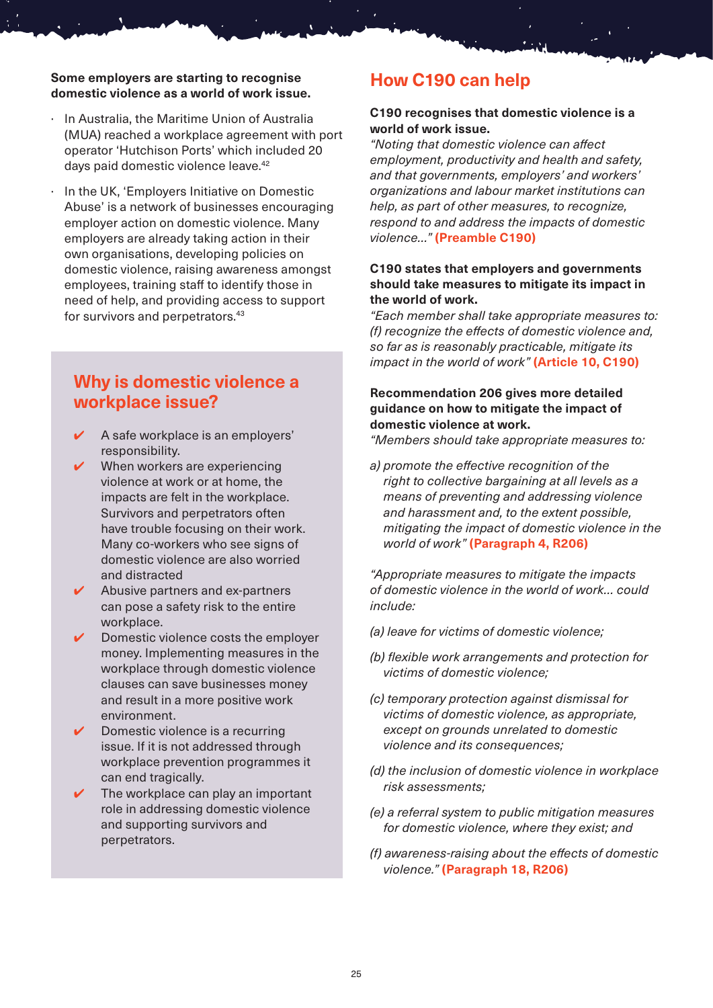#### **Some employers are starting to recognise domestic violence as a world of work issue.**

- In Australia, the Maritime Union of Australia (MUA) reached a workplace agreement with port operator 'Hutchison Ports' which included 20 days paid domestic violence leave.<sup>42</sup>
- · In the UK, 'Employers Initiative on Domestic Abuse' is a network of businesses encouraging employer action on domestic violence. Many employers are already taking action in their own organisations, developing policies on domestic violence, raising awareness amongst employees, training staff to identify those in need of help, and providing access to support for survivors and perpetrators.43

# **Why is domestic violence a workplace issue?**

- ✔ A safe workplace is an employers' responsibility.
- When workers are experiencing violence at work or at home, the impacts are felt in the workplace. Survivors and perpetrators often have trouble focusing on their work. Many co-workers who see signs of domestic violence are also worried and distracted
- Abusive partners and ex-partners can pose a safety risk to the entire workplace.
- Domestic violence costs the employer money. Implementing measures in the workplace through domestic violence clauses can save businesses money and result in a more positive work environment.
- Domestic violence is a recurring issue. If it is not addressed through workplace prevention programmes it can end tragically.
- The workplace can play an important role in addressing domestic violence and supporting survivors and perpetrators.

# **How C190 can help**

#### **C190 recognises that domestic violence is a world of work issue.**

*"Noting that domestic violence can affect employment, productivity and health and safety, and that governments, employers' and workers' organizations and labour market institutions can help, as part of other measures, to recognize, respond to and address the impacts of domestic violence…"* **(Preamble C190)**

#### **C190 states that employers and governments should take measures to mitigate its impact in the world of work.**

*"Each member shall take appropriate measures to: (f) recognize the effects of domestic violence and, so far as is reasonably practicable, mitigate its impact in the world of work"* **(Article 10, C190)**

#### **Recommendation 206 gives more detailed guidance on how to mitigate the impact of domestic violence at work.**

*"Members should take appropriate measures to:*

*a) promote the effective recognition of the right to collective bargaining at all levels as a means of preventing and addressing violence and harassment and, to the extent possible, mitigating the impact of domestic violence in the world of work"* **(Paragraph 4, R206)**

*"Appropriate measures to mitigate the impacts of domestic violence in the world of work… could include:*

- *(a) leave for victims of domestic violence;*
- *(b) flexible work arrangements and protection for victims of domestic violence;*
- *(c) temporary protection against dismissal for victims of domestic violence, as appropriate, except on grounds unrelated to domestic violence and its consequences;*
- *(d) the inclusion of domestic violence in workplace risk assessments;*
- *(e) a referral system to public mitigation measures for domestic violence, where they exist; and*
- *(f) awareness-raising about the effects of domestic violence."* **(Paragraph 18, R206)**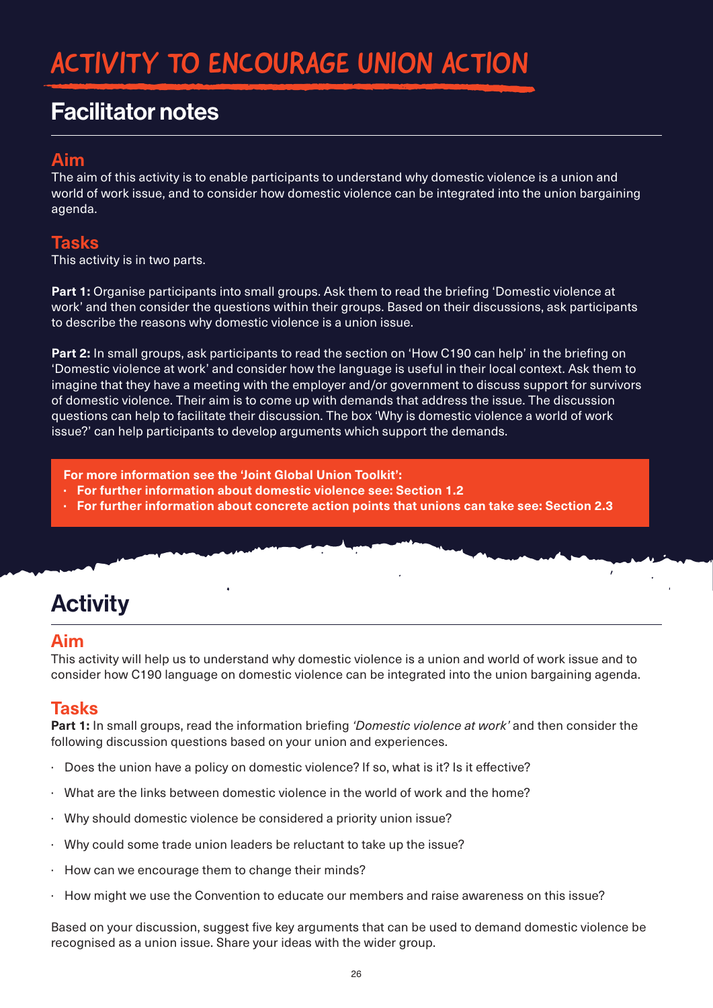# ACTIVITY TO ENCOURAGE UNION ACTION

# Facilitator notes

# **Aim**

The aim of this activity is to enable participants to understand why domestic violence is a union and world of work issue, and to consider how domestic violence can be integrated into the union bargaining agenda.

# **Tasks**

This activity is in two parts.

**Part 1:** Organise participants into small groups. Ask them to read the briefing 'Domestic violence at work' and then consider the questions within their groups. Based on their discussions, ask participants to describe the reasons why domestic violence is a union issue.

**Part 2:** In small groups, ask participants to read the section on 'How C190 can help' in the briefing on 'Domestic violence at work' and consider how the language is useful in their local context. Ask them to imagine that they have a meeting with the employer and/or government to discuss support for survivors of domestic violence. Their aim is to come up with demands that address the issue. The discussion questions can help to facilitate their discussion. The box 'Why is domestic violence a world of work issue?' can help participants to develop arguments which support the demands.

**For more information see the 'Joint Global Union Toolkit':**

- **· For further information about domestic violence see: Section 1.2**
- **· For further information about concrete action points that unions can take see: Section 2.3**

# **Activity**

### **Aim**

This activity will help us to understand why domestic violence is a union and world of work issue and to consider how C190 language on domestic violence can be integrated into the union bargaining agenda.

 $\mathbf{r}$ 

### **Tasks**

**Part 1:** In small groups, read the information briefing *'Domestic violence at work'* and then consider the following discussion questions based on your union and experiences.

- · Does the union have a policy on domestic violence? If so, what is it? Is it effective?
- What are the links between domestic violence in the world of work and the home?
- · Why should domestic violence be considered a priority union issue?
- Why could some trade union leaders be reluctant to take up the issue?
- How can we encourage them to change their minds?
- · How might we use the Convention to educate our members and raise awareness on this issue?

Based on your discussion, suggest five key arguments that can be used to demand domestic violence be recognised as a union issue. Share your ideas with the wider group.